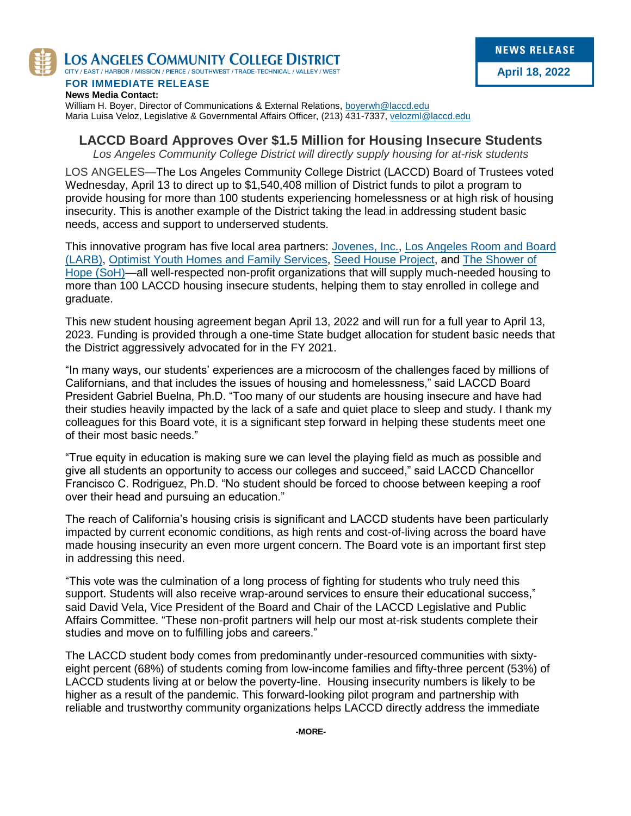

LOS ANGELES COMMUNITY COLLEGE DISTRICT

CITY / EAST / HARBOR / MISSION / PIERCE / SOUTHWEST / TRADE-TECHNICAL / VALLEY / WEST

**FOR IMMEDIATE RELEASE News Media Contact:** William H. Boyer, Director of Communications & External Relations, [boyerwh@laccd.edu](mailto:boyerwh@laccd.edu)

Maria Luisa Veloz, Legislative & Governmental Affairs Officer, (213) 431-7337[, velozml@laccd.edu](mailto:velozml@laccd.edu)

# **LACCD Board Approves Over \$1.5 Million for Housing Insecure Students**

*Los Angeles Community College District will directly supply housing for at-risk students*

LOS ANGELES—The Los Angeles Community College District (LACCD) Board of Trustees voted Wednesday, April 13 to direct up to \$1,540,408 million of District funds to pilot a program to provide housing for more than 100 students experiencing homelessness or at high risk of housing insecurity. This is another example of the District taking the lead in addressing student basic needs, access and support to underserved students.

This innovative program has five local area partners: [Jovenes, Inc.,](https://jovenesinc.org/) [Los Angeles Room and Board](https://larnb.org/)  [\(LARB\),](https://larnb.org/) [Optimist Youth Homes and Family Services,](https://www.oyhfs.org/) [Seed House Project,](https://seedhouseproject.org/) and [The Shower of](http://theshowerofhope.org/)  [Hope \(SoH\)—](http://theshowerofhope.org/)all well-respected non-profit organizations that will supply much-needed housing to more than 100 LACCD housing insecure students, helping them to stay enrolled in college and graduate.

This new student housing agreement began April 13, 2022 and will run for a full year to April 13, 2023. Funding is provided through a one-time State budget allocation for student basic needs that the District aggressively advocated for in the FY 2021.

"In many ways, our students' experiences are a microcosm of the challenges faced by millions of Californians, and that includes the issues of housing and homelessness," said LACCD Board President Gabriel Buelna, Ph.D. "Too many of our students are housing insecure and have had their studies heavily impacted by the lack of a safe and quiet place to sleep and study. I thank my colleagues for this Board vote, it is a significant step forward in helping these students meet one of their most basic needs."

"True equity in education is making sure we can level the playing field as much as possible and give all students an opportunity to access our colleges and succeed," said LACCD Chancellor Francisco C. Rodriguez, Ph.D. "No student should be forced to choose between keeping a roof over their head and pursuing an education."

The reach of California's housing crisis is significant and LACCD students have been particularly impacted by current economic conditions, as high rents and cost-of-living across the board have made housing insecurity an even more urgent concern. The Board vote is an important first step in addressing this need.

"This vote was the culmination of a long process of fighting for students who truly need this support. Students will also receive wrap-around services to ensure their educational success," said David Vela, Vice President of the Board and Chair of the LACCD Legislative and Public Affairs Committee. "These non-profit partners will help our most at-risk students complete their studies and move on to fulfilling jobs and careers."

The LACCD student body comes from predominantly under-resourced communities with sixtyeight percent (68%) of students coming from low-income families and fifty-three percent (53%) of LACCD students living at or below the poverty-line. Housing insecurity numbers is likely to be higher as a result of the pandemic. This forward-looking pilot program and partnership with reliable and trustworthy community organizations helps LACCD directly address the immediate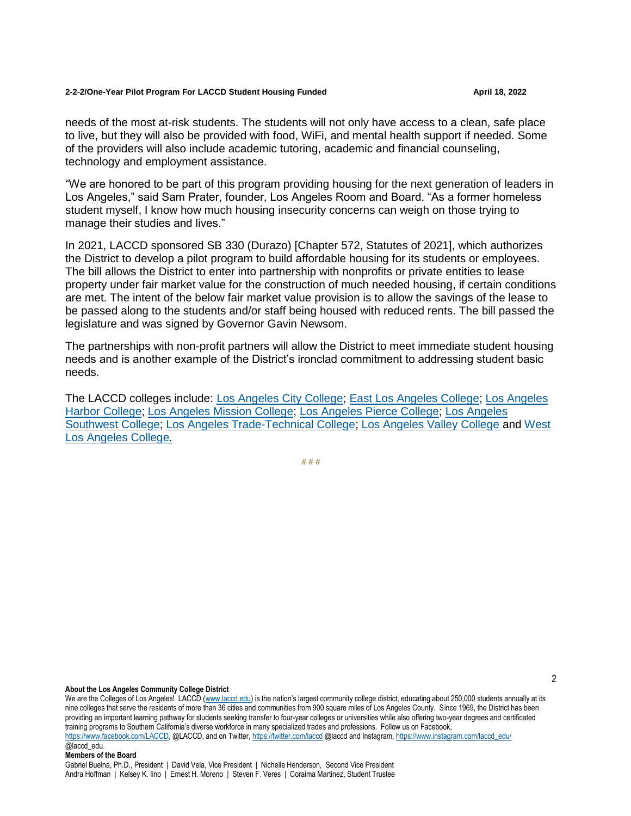### **2-2-2/One-Year Pilot Program For LACCD Student Housing Funded April 18, 2022**

needs of the most at-risk students. The students will not only have access to a clean, safe place to live, but they will also be provided with food, WiFi, and mental health support if needed. Some of the providers will also include academic tutoring, academic and financial counseling, technology and employment assistance.

"We are honored to be part of this program providing housing for the next generation of leaders in Los Angeles," said Sam Prater, founder, Los Angeles Room and Board. "As a former homeless student myself, I know how much housing insecurity concerns can weigh on those trying to manage their studies and lives."

In 2021, LACCD sponsored SB 330 (Durazo) [Chapter 572, Statutes of 2021], which authorizes the District to develop a pilot program to build affordable housing for its students or employees. The bill allows the District to enter into partnership with nonprofits or private entities to lease property under fair market value for the construction of much needed housing, if certain conditions are met. The intent of the below fair market value provision is to allow the savings of the lease to be passed along to the students and/or staff being housed with reduced rents. The bill passed the legislature and was signed by Governor Gavin Newsom.

The partnerships with non-profit partners will allow the District to meet immediate student housing needs and is another example of the District's ironclad commitment to addressing student basic needs.

The LACCD colleges include: [Los Angeles City College;](https://www.lacitycollege.edu/) [East Los Angeles College;](https://www.elac.edu/) [Los Angeles](https://www.lahc.edu/)  [Harbor College;](https://www.lahc.edu/) [Los Angeles Mission College;](http://www.lamission.edu/) [Los Angeles Pierce College;](http://www.piercecollege.edu/) [Los Angeles](https://www.lasc.edu/)  [Southwest College;](https://www.lasc.edu/) [Los Angeles Trade-Technical College;](http://www.lattc.edu/) [Los Angeles Valley College](https://www.lavc.edu/) and [West](http://www.wlac.edu/)  [Los Angeles College.](http://www.wlac.edu/)

**# # #**

### **About the Los Angeles Community College District**

We are the Colleges of Los Angeles! LACCD (www.laccd.edu) is the nation's largest community college district, educating about 250,000 students annually at its nine colleges that serve the residents of more than 36 cities and communities from 900 square miles of Los Angeles County. Since 1969, the District has been providing an important learning pathway for students seeking transfer to four-year colleges or universities while also offering two-year degrees and certificated training programs to Southern California's diverse workforce in many specialized trades and professions. Follow us on Facebook, https://www.facebook.com/LACCD, @LACCD, and on Twitter, https://twitter.com/laccd @laccd and Instagram, https://www.instagram.com/laccd\_edu/ @laccd\_edu.

### **Members of the Board**

Gabriel Buelna, Ph.D., President | David Vela, Vice President | Nichelle Henderson, Second Vice President Andra Hoffman | Kelsey K. Iino | Ernest H. Moreno | Steven F. Veres | Coraima Martinez, Student Trustee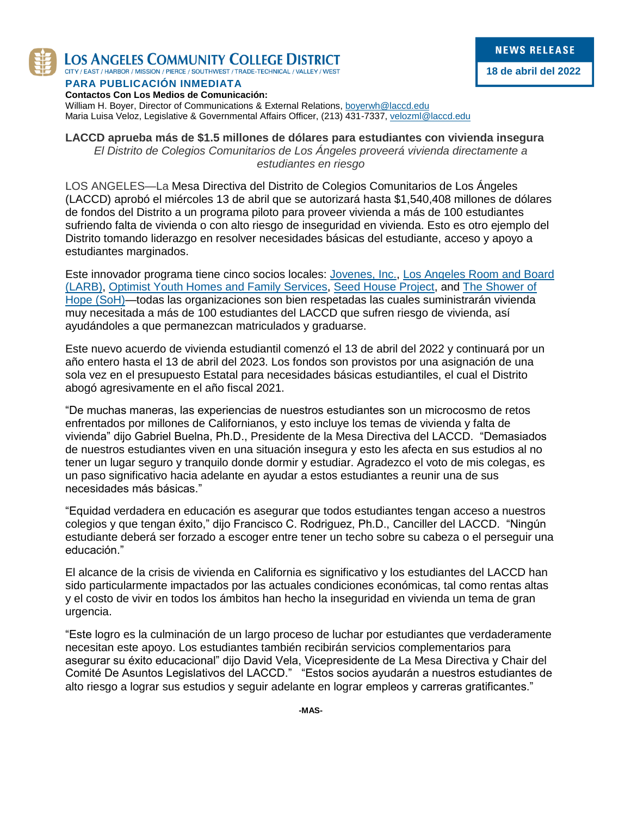

LOS ANGELES COMMUNITY COLLEGE DISTRICT

CITY / EAST / HARBOR / MISSION / PIERCE / SOUTHWEST / TRADE-TECHNICAL / VALLEY / WEST

# **PARA PUBLICACIÓN INMEDIATA**

**NEWS RELEASE 18 de abril del 2022**

**Contactos Con Los Medios de Comunicación:** William H. Boyer, Director of Communications & External Relations, [boyerwh@laccd.edu](mailto:boyerwh@laccd.edu) Maria Luisa Veloz, Legislative & Governmental Affairs Officer, (213) 431-7337[, velozml@laccd.edu](mailto:velozml@laccd.edu)

# **LACCD aprueba más de \$1.5 millones de dólares para estudiantes con vivienda insegura** *El Distrito de Colegios Comunitarios de Los Ángeles proveerá vivienda directamente a estudiantes en riesgo*

LOS ANGELES—La Mesa Directiva del Distrito de Colegios Comunitarios de Los Ángeles (LACCD) aprobó el miércoles 13 de abril que se autorizará hasta \$1,540,408 millones de dólares de fondos del Distrito a un programa piloto para proveer vivienda a más de 100 estudiantes sufriendo falta de vivienda o con alto riesgo de inseguridad en vivienda. Esto es otro ejemplo del Distrito tomando liderazgo en resolver necesidades básicas del estudiante, acceso y apoyo a estudiantes marginados.

Este innovador programa tiene cinco socios locales: [Jovenes, Inc.,](https://jovenesinc.org/) [Los Angeles Room and Board](https://larnb.org/)  [\(LARB\),](https://larnb.org/) [Optimist Youth Homes and Family Services,](https://www.oyhfs.org/) [Seed House Project,](https://seedhouseproject.org/) and [The Shower of](http://theshowerofhope.org/)  [Hope \(SoH\)—](http://theshowerofhope.org/)todas las organizaciones son bien respetadas las cuales suministrarán vivienda muy necesitada a más de 100 estudiantes del LACCD que sufren riesgo de vivienda, así ayudándoles a que permanezcan matriculados y graduarse.

Este nuevo acuerdo de vivienda estudiantil comenzó el 13 de abril del 2022 y continuará por un año entero hasta el 13 de abril del 2023. Los fondos son provistos por una asignación de una sola vez en el presupuesto Estatal para necesidades básicas estudiantiles, el cual el Distrito abogó agresivamente en el año fiscal 2021.

"De muchas maneras, las experiencias de nuestros estudiantes son un microcosmo de retos enfrentados por millones de Californianos, y esto incluye los temas de vivienda y falta de vivienda" dijo Gabriel Buelna, Ph.D., Presidente de la Mesa Directiva del LACCD. "Demasiados de nuestros estudiantes viven en una situación insegura y esto les afecta en sus estudios al no tener un lugar seguro y tranquilo donde dormir y estudiar. Agradezco el voto de mis colegas, es un paso significativo hacia adelante en ayudar a estos estudiantes a reunir una de sus necesidades más básicas."

"Equidad verdadera en educación es asegurar que todos estudiantes tengan acceso a nuestros colegios y que tengan éxito," dijo Francisco C. Rodriguez, Ph.D., Canciller del LACCD. "Ningún estudiante deberá ser forzado a escoger entre tener un techo sobre su cabeza o el perseguir una educación."

El alcance de la crisis de vivienda en California es significativo y los estudiantes del LACCD han sido particularmente impactados por las actuales condiciones económicas, tal como rentas altas y el costo de vivir en todos los ámbitos han hecho la inseguridad en vivienda un tema de gran urgencia.

"Este logro es la culminación de un largo proceso de luchar por estudiantes que verdaderamente necesitan este apoyo. Los estudiantes también recibirán servicios complementarios para asegurar su éxito educacional" dijo David Vela, Vicepresidente de La Mesa Directiva y Chair del Comité De Asuntos Legislativos del LACCD." "Estos socios ayudarán a nuestros estudiantes de alto riesgo a lograr sus estudios y seguir adelante en lograr empleos y carreras gratificantes."